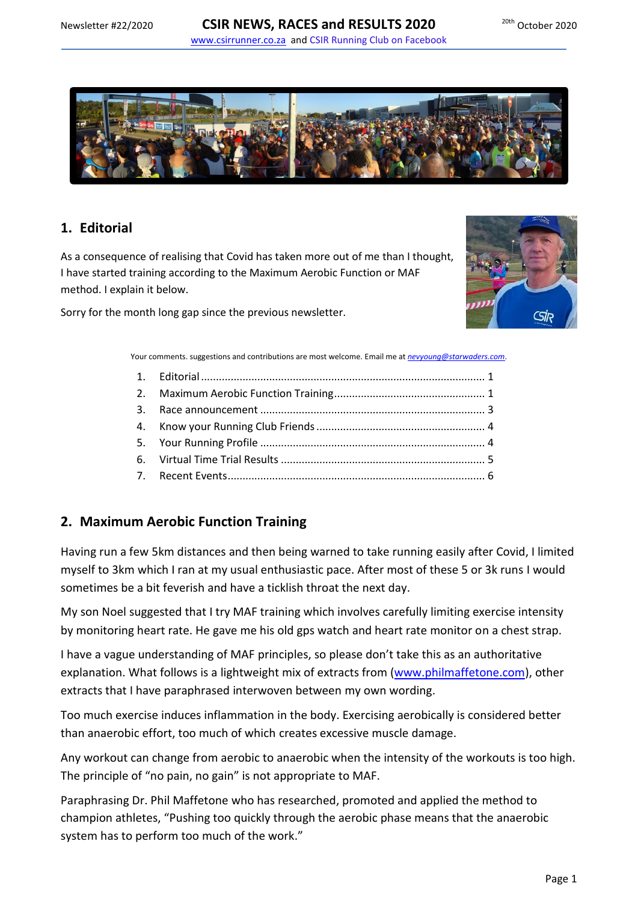



# <span id="page-0-0"></span>**1. Editorial**

As a consequence of realising that Covid has taken more out of me than I thought, I have started training according to the Maximum Aerobic Function or MAF method. I explain it below.

Sorry for the month long gap since the previous newsletter.



Your comments. suggestions and contributions are most welcome. Email me at *[nevyoung@starwaders.com](mailto:nevyoung@starwaders.com)*.

## <span id="page-0-1"></span>**2. Maximum Aerobic Function Training**

Having run a few 5km distances and then being warned to take running easily after Covid, I limited myself to 3km which I ran at my usual enthusiastic pace. After most of these 5 or 3k runs I would sometimes be a bit feverish and have a ticklish throat the next day.

My son Noel suggested that I try MAF training which involves carefully limiting exercise intensity by monitoring heart rate. He gave me his old gps watch and heart rate monitor on a chest strap.

I have a vague understanding of MAF principles, so please don't take this as an authoritative explanation. What follows is a lightweight mix of extracts from [\(www.philmaffetone.com\)](http://www.philmaffetone.com/), other extracts that I have paraphrased interwoven between my own wording.

Too much exercise induces inflammation in the body. Exercising aerobically is considered better than anaerobic effort, too much of which creates excessive muscle damage.

Any workout can change from aerobic to anaerobic when the intensity of the workouts is too high. The principle of "no pain, no gain" is not appropriate to MAF.

Paraphrasing Dr. Phil Maffetone who has researched, promoted and applied the method to champion athletes, "Pushing too quickly through the aerobic phase means that the anaerobic system has to perform too much of the work."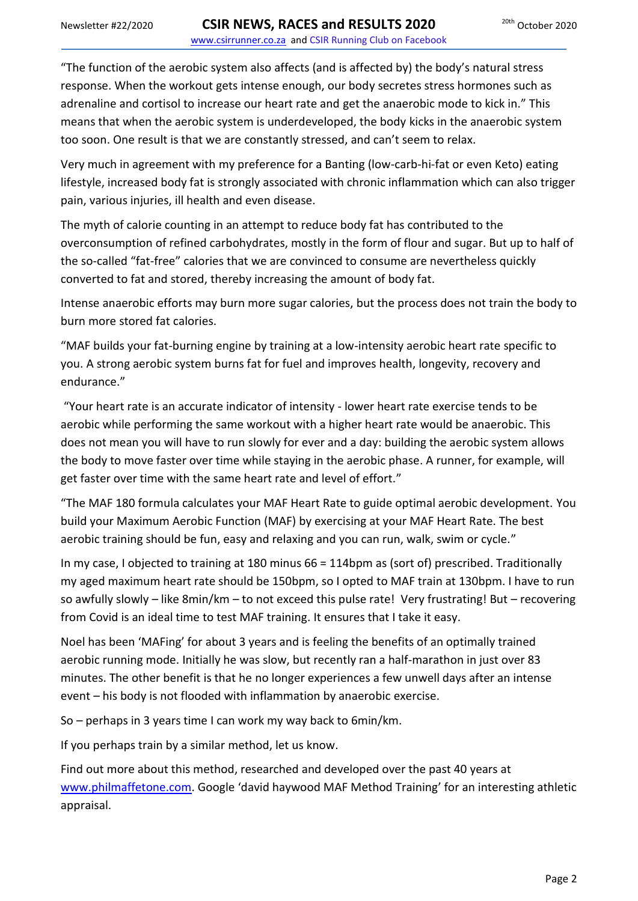"The function of the aerobic system also affects (and is affected by) the body's natural stress response. When the workout gets intense enough, our body secretes stress hormones such as adrenaline and cortisol to increase our heart rate and get the anaerobic mode to kick in." This means that when the aerobic system is underdeveloped, the body kicks in the anaerobic system too soon. One result is that we are constantly stressed, and can't seem to relax.

Very much in agreement with my preference for a Banting (low-carb-hi-fat or even Keto) eating lifestyle, increased body fat is strongly associated with chronic inflammation which can also trigger pain, various injuries, ill health and even disease.

The myth of calorie counting in an attempt to reduce body fat has contributed to the overconsumption of refined carbohydrates, mostly in the form of flour and sugar. But up to half of the so-called "fat-free" calories that we are convinced to consume are nevertheless quickly converted to fat and stored, thereby increasing the amount of body fat.

Intense anaerobic efforts may burn more sugar calories, but the process does not train the body to burn more stored fat calories.

"MAF builds your fat-burning engine by training at a low-intensity aerobic heart rate specific to you. A strong aerobic system burns fat for fuel and improves health, longevity, recovery and endurance."

"Your heart rate is an accurate indicator of intensity - lower heart rate exercise tends to be aerobic while performing the same workout with a higher heart rate would be anaerobic. This does not mean you will have to run slowly for ever and a day: building the aerobic system allows the body to move faster over time while staying in the aerobic phase. A runner, for example, will get faster over time with the same heart rate and level of effort."

"The MAF 180 formula calculates your MAF Heart Rate to guide optimal aerobic development. You build your Maximum Aerobic Function (MAF) by exercising at your MAF Heart Rate. The best aerobic training should be fun, easy and relaxing and you can run, walk, swim or cycle."

In my case, I objected to training at 180 minus 66 = 114bpm as (sort of) prescribed. Traditionally my aged maximum heart rate should be 150bpm, so I opted to MAF train at 130bpm. I have to run so awfully slowly – like 8min/km – to not exceed this pulse rate! Very frustrating! But – recovering from Covid is an ideal time to test MAF training. It ensures that I take it easy.

Noel has been 'MAFing' for about 3 years and is feeling the benefits of an optimally trained aerobic running mode. Initially he was slow, but recently ran a half-marathon in just over 83 minutes. The other benefit is that he no longer experiences a few unwell days after an intense event – his body is not flooded with inflammation by anaerobic exercise.

So – perhaps in 3 years time I can work my way back to 6min/km.

If you perhaps train by a similar method, let us know.

Find out more about this method, researched and developed over the past 40 years at [www.philmaffetone.com.](http://www.philmaffetone.com/) Google 'david haywood MAF Method Training' for an interesting athletic appraisal.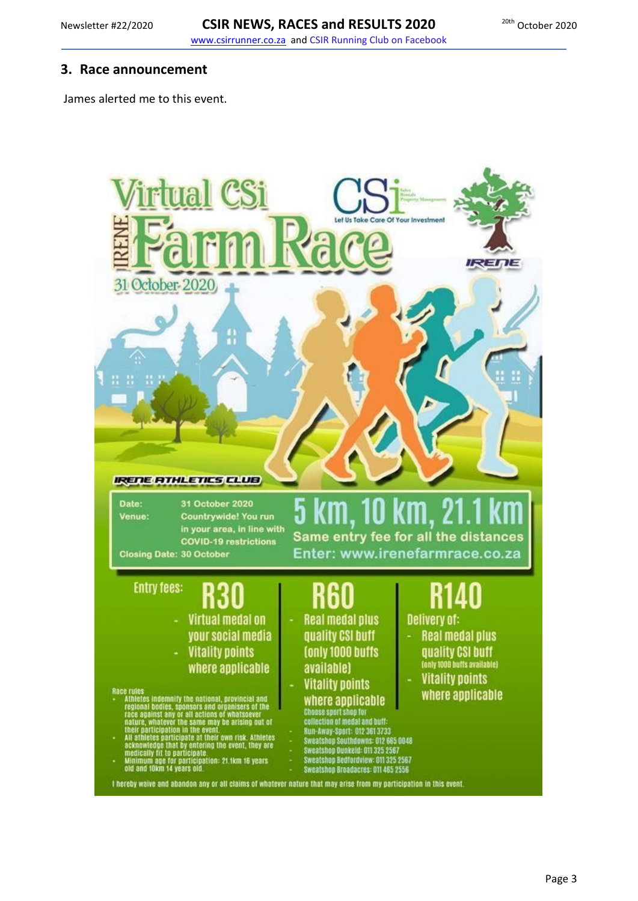#### <span id="page-2-0"></span>**3. Race announcement**

James alerted me to this event.

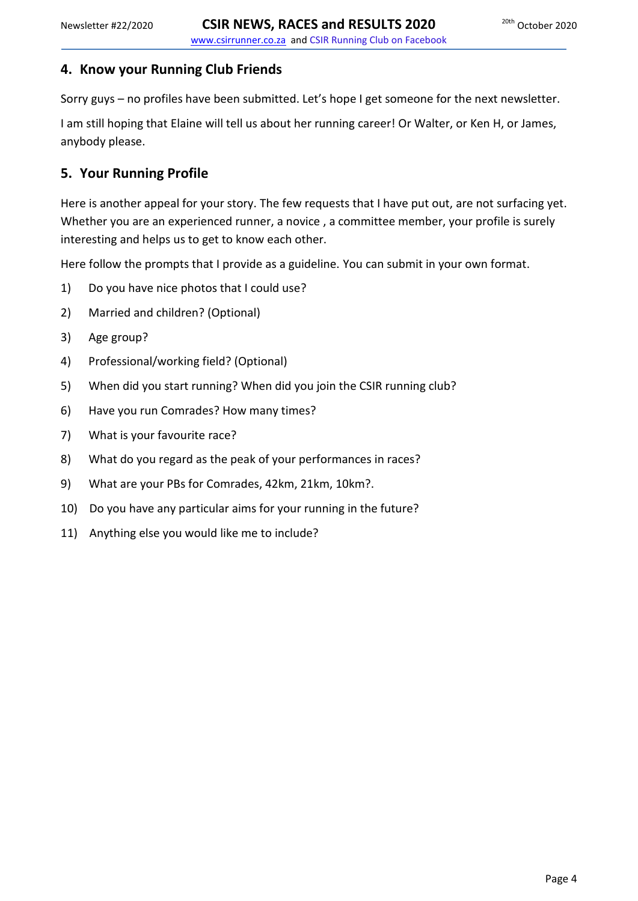## <span id="page-3-0"></span>**4. Know your Running Club Friends**

Sorry guys – no profiles have been submitted. Let's hope I get someone for the next newsletter.

I am still hoping that Elaine will tell us about her running career! Or Walter, or Ken H, or James, anybody please.

# <span id="page-3-1"></span>**5. Your Running Profile**

Here is another appeal for your story. The few requests that I have put out, are not surfacing yet. Whether you are an experienced runner, a novice , a committee member, your profile is surely interesting and helps us to get to know each other.

Here follow the prompts that I provide as a guideline. You can submit in your own format.

- 1) Do you have nice photos that I could use?
- 2) Married and children? (Optional)
- 3) Age group?
- 4) Professional/working field? (Optional)
- 5) When did you start running? When did you join the CSIR running club?
- 6) Have you run Comrades? How many times?
- 7) What is your favourite race?
- 8) What do you regard as the peak of your performances in races?
- 9) What are your PBs for Comrades, 42km, 21km, 10km?.
- 10) Do you have any particular aims for your running in the future?
- 11) Anything else you would like me to include?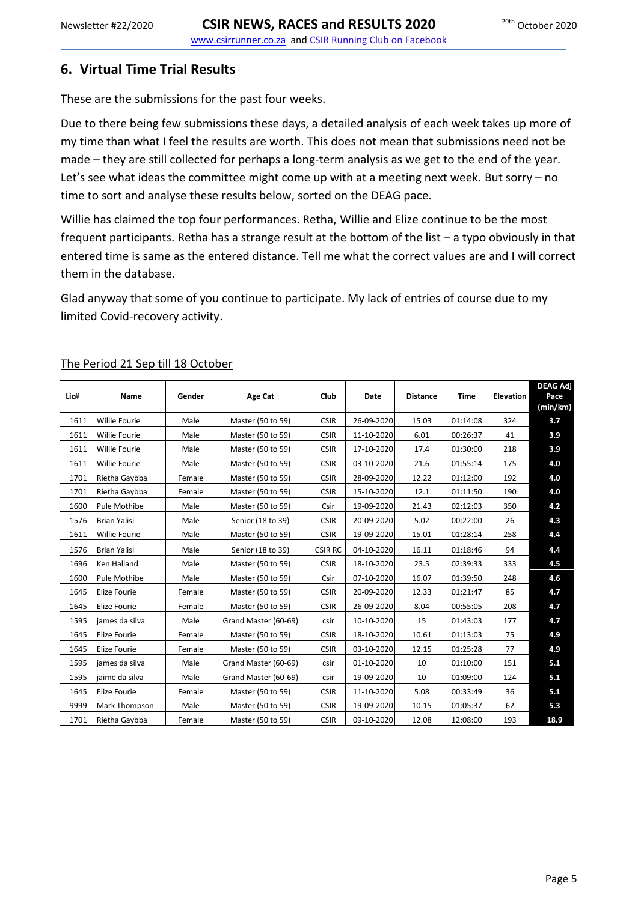### <span id="page-4-0"></span>**6. Virtual Time Trial Results**

These are the submissions for the past four weeks.

Due to there being few submissions these days, a detailed analysis of each week takes up more of my time than what I feel the results are worth. This does not mean that submissions need not be made – they are still collected for perhaps a long-term analysis as we get to the end of the year. Let's see what ideas the committee might come up with at a meeting next week. But sorry – no time to sort and analyse these results below, sorted on the DEAG pace.

Willie has claimed the top four performances. Retha, Willie and Elize continue to be the most frequent participants. Retha has a strange result at the bottom of the list – a typo obviously in that entered time is same as the entered distance. Tell me what the correct values are and I will correct them in the database.

Glad anyway that some of you continue to participate. My lack of entries of course due to my limited Covid-recovery activity.

| Lic# | Name                | Gender | Age Cat              | Club           | Date       | <b>Distance</b> | <b>Time</b> | <b>Elevation</b> | <b>DEAG Adj</b><br>Pace<br>(min/km) |
|------|---------------------|--------|----------------------|----------------|------------|-----------------|-------------|------------------|-------------------------------------|
| 1611 | Willie Fourie       | Male   | Master (50 to 59)    | <b>CSIR</b>    | 26-09-2020 | 15.03           | 01:14:08    | 324              | 3.7                                 |
| 1611 | Willie Fourie       | Male   | Master (50 to 59)    | <b>CSIR</b>    | 11-10-2020 | 6.01            | 00:26:37    | 41               | 3.9                                 |
| 1611 | Willie Fourie       | Male   | Master (50 to 59)    | <b>CSIR</b>    | 17-10-2020 | 17.4            | 01:30:00    | 218              | 3.9                                 |
| 1611 | Willie Fourie       | Male   | Master (50 to 59)    | <b>CSIR</b>    | 03-10-2020 | 21.6            | 01:55:14    | 175              | 4.0                                 |
| 1701 | Rietha Gaybba       | Female | Master (50 to 59)    | <b>CSIR</b>    | 28-09-2020 | 12.22           | 01:12:00    | 192              | 4.0                                 |
| 1701 | Rietha Gaybba       | Female | Master (50 to 59)    | <b>CSIR</b>    | 15-10-2020 | 12.1            | 01:11:50    | 190              | 4.0                                 |
| 1600 | Pule Mothibe        | Male   | Master (50 to 59)    | Csir           | 19-09-2020 | 21.43           | 02:12:03    | 350              | 4.2                                 |
| 1576 | <b>Brian Yalisi</b> | Male   | Senior (18 to 39)    | <b>CSIR</b>    | 20-09-2020 | 5.02            | 00:22:00    | 26               | 4.3                                 |
| 1611 | Willie Fourie       | Male   | Master (50 to 59)    | <b>CSIR</b>    | 19-09-2020 | 15.01           | 01:28:14    | 258              | 4.4                                 |
| 1576 | <b>Brian Yalisi</b> | Male   | Senior (18 to 39)    | <b>CSIR RC</b> | 04-10-2020 | 16.11           | 01:18:46    | 94               | 4.4                                 |
| 1696 | Ken Halland         | Male   | Master (50 to 59)    | <b>CSIR</b>    | 18-10-2020 | 23.5            | 02:39:33    | 333              | 4.5                                 |
| 1600 | Pule Mothibe        | Male   | Master (50 to 59)    | Csir           | 07-10-2020 | 16.07           | 01:39:50    | 248              | 4.6                                 |
| 1645 | Elize Fourie        | Female | Master (50 to 59)    | <b>CSIR</b>    | 20-09-2020 | 12.33           | 01:21:47    | 85               | 4.7                                 |
| 1645 | Elize Fourie        | Female | Master (50 to 59)    | <b>CSIR</b>    | 26-09-2020 | 8.04            | 00:55:05    | 208              | 4.7                                 |
| 1595 | james da silva      | Male   | Grand Master (60-69) | csir           | 10-10-2020 | 15              | 01:43:03    | 177              | 4.7                                 |
| 1645 | Elize Fourie        | Female | Master (50 to 59)    | <b>CSIR</b>    | 18-10-2020 | 10.61           | 01:13:03    | 75               | 4.9                                 |
| 1645 | Elize Fourie        | Female | Master (50 to 59)    | <b>CSIR</b>    | 03-10-2020 | 12.15           | 01:25:28    | 77               | 4.9                                 |
| 1595 | james da silva      | Male   | Grand Master (60-69) | csir           | 01-10-2020 | 10              | 01:10:00    | 151              | 5.1                                 |
| 1595 | jaime da silva      | Male   | Grand Master (60-69) | csir           | 19-09-2020 | 10              | 01:09:00    | 124              | 5.1                                 |
| 1645 | Elize Fourie        | Female | Master (50 to 59)    | <b>CSIR</b>    | 11-10-2020 | 5.08            | 00:33:49    | 36               | 5.1                                 |
| 9999 | Mark Thompson       | Male   | Master (50 to 59)    | <b>CSIR</b>    | 19-09-2020 | 10.15           | 01:05:37    | 62               | 5.3                                 |
| 1701 | Rietha Gaybba       | Female | Master (50 to 59)    | <b>CSIR</b>    | 09-10-2020 | 12.08           | 12:08:00    | 193              | 18.9                                |

#### The Period 21 Sep till 18 October